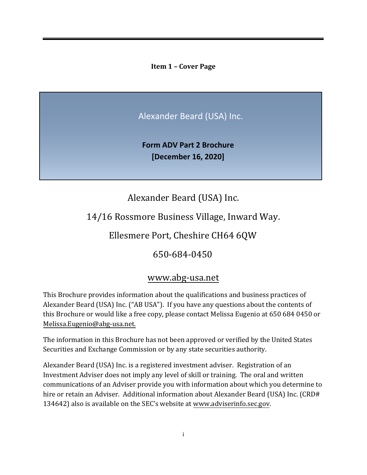<span id="page-0-0"></span>**Item 1 – Cover Page**

Alexander Beard (USA) Inc.

**Form ADV Part 2 Brochure [December 16, 2020]**

Alexander Beard (USA) Inc.

14/16 Rossmore Business Village, Inward Way.

Ellesmere Port, Cheshire CH64 6QW

650-684-0450

# [www.abg-usa.net](http://www.abg-usa.net/)

This Brochure provides information about the qualifications and business practices of Alexander Beard (USA) Inc. ("AB USA"). If you have any questions about the contents of this Brochure or would like a free copy, please contact Melissa Eugenio at 650 684 0450 or Melissa.Eugenio@abg-usa.net.

The information in this Brochure has not been approved or verified by the United States Securities and Exchange Commission or by any state securities authority.

Alexander Beard (USA) Inc. is a registered investment adviser. Registration of an Investment Adviser does not imply any level of skill or training. The oral and written communications of an Adviser provide you with information about which you determine to hire or retain an Adviser. Additional information about Alexander Beard (USA) Inc. (CRD# 134642) also is available on the SEC's website at [www.adviserinfo.sec.gov.](http://www.adviserinfo.sec.gov/)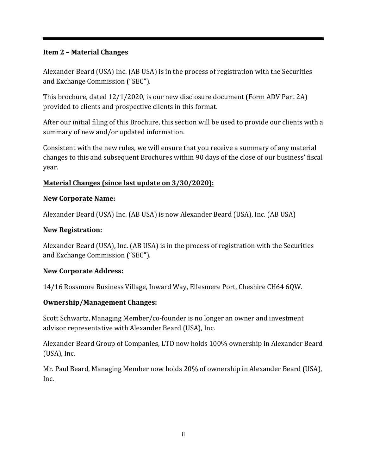#### <span id="page-1-0"></span>**Item 2 – Material Changes**

Alexander Beard (USA) Inc. (AB USA) is in the process of registration with the Securities and Exchange Commission ("SEC").

This brochure, dated 12/1/2020, is our new disclosure document (Form ADV Part 2A) provided to clients and prospective clients in this format.

After our initial filing of this Brochure, this section will be used to provide our clients with a summary of new and/or updated information.

Consistent with the new rules, we will ensure that you receive a summary of any material changes to this and subsequent Brochures within 90 days of the close of our business' fiscal year.

# **Material Changes (since last update on 3/30/2020):**

#### <span id="page-1-1"></span>**New Corporate Name:**

Alexander Beard (USA) Inc. (AB USA) is now Alexander Beard (USA), Inc. (AB USA)

### **New Registration:**

Alexander Beard (USA), Inc. (AB USA) is in the process of registration with the Securities and Exchange Commission ("SEC").

### **New Corporate Address:**

14/16 Rossmore Business Village, Inward Way, Ellesmere Port, Cheshire CH64 6QW.

#### **Ownership/Management Changes:**

Scott Schwartz, Managing Member/co-founder is no longer an owner and investment advisor representative with Alexander Beard (USA), Inc.

Alexander Beard Group of Companies, LTD now holds 100% ownership in Alexander Beard (USA), Inc.

Mr. Paul Beard, Managing Member now holds 20% of ownership in Alexander Beard (USA), Inc.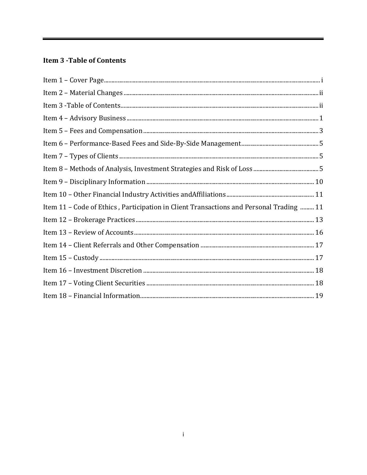# **Item 3 - Table of Contents**

| Item 11 - Code of Ethics, Participation in Client Transactions and Personal Trading  11 |  |
|-----------------------------------------------------------------------------------------|--|
|                                                                                         |  |
|                                                                                         |  |
|                                                                                         |  |
|                                                                                         |  |
|                                                                                         |  |
|                                                                                         |  |
|                                                                                         |  |

Ξ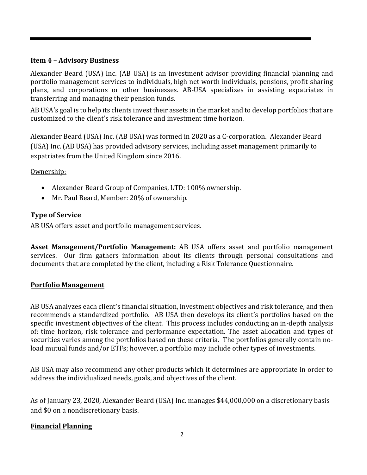#### <span id="page-3-0"></span>**Item 4 – Advisory Business**

Alexander Beard (USA) Inc. (AB USA) is an investment advisor providing financial planning and portfolio management services to individuals, high net worth individuals, pensions, profit-sharing plans, and corporations or other businesses. AB-USA specializes in assisting expatriates in transferring and managing their pension funds.

AB USA's goal is to help its clients invest their assets in the market and to develop portfolios that are customized to the client's risk tolerance and investment time horizon.

Alexander Beard (USA) Inc. (AB USA) was formed in 2020 as a C-corporation. Alexander Beard (USA) Inc. (AB USA) has provided advisory services, including asset management primarily to expatriates from the United Kingdom since 2016.

Ownership:

- Alexander Beard Group of Companies, LTD: 100% ownership.
- Mr. Paul Beard, Member: 20% of ownership.

### **Type of Service**

AB USA offers asset and portfolio management services.

**Asset Management/Portfolio Management:** AB USA offers asset and portfolio management services. Our firm gathers information about its clients through personal consultations and documents that are completed by the client, including a Risk Tolerance Questionnaire.

### **Portfolio Management**

AB USA analyzes each client's financial situation, investment objectives and risk tolerance, and then recommends a standardized portfolio. AB USA then develops its client's portfolios based on the specific investment objectives of the client. This process includes conducting an in-depth analysis of: time horizon, risk tolerance and performance expectation. The asset allocation and types of securities varies among the portfolios based on these criteria. The portfolios generally contain noload mutual funds and/or ETFs; however, a portfolio may include other types of investments.

AB USA may also recommend any other products which it determines are appropriate in order to address the individualized needs, goals, and objectives of the client.

As of January 23, 2020, Alexander Beard (USA) Inc. manages \$44,000,000 on a discretionary basis and \$0 on a nondiscretionary basis.

### **Financial Planning**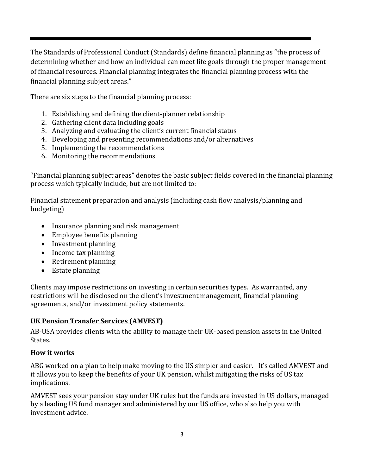The Standards of Professional Conduct (Standards) define financial planning as "the process of determining whether and how an individual can meet life goals through the proper management of financial resources. Financial planning integrates the financial planning process with the financial planning subject areas."

There are six steps to the financial planning process:

- 1. Establishing and defining the client-planner relationship
- 2. Gathering client data including goals
- 3. Analyzing and evaluating the client's current financial status
- 4. Developing and presenting recommendations and/or alternatives
- 5. Implementing the recommendations
- 6. Monitoring the recommendations

"Financial planning subject areas" denotes the basic subject fields covered in the financial planning process which typically include, but are not limited to:

Financial statement preparation and analysis (including cash flow analysis/planning and budgeting)

- Insurance planning and risk management
- Employee benefits planning
- Investment planning
- Income tax planning
- Retirement planning
- <span id="page-4-0"></span>• Estate planning

Clients may impose restrictions on investing in certain securities types. As warranted, any restrictions will be disclosed on the client's investment management, financial planning agreements, and/or investment policy statements.

#### **UK Pension Transfer Services (AMVEST)**

AB-USA provides clients with the ability to manage their UK-based pension assets in the United States.

#### **How it works**

ABG worked on a plan to help make moving to the US simpler and easier. It's called AMVEST and it allows you to keep the benefits of your UK pension, whilst mitigating the risks of US tax implications.

AMVEST sees your pension stay under UK rules but the funds are invested in US dollars, managed by a leading US fund manager and administered by our US office, who also help you with investment advice.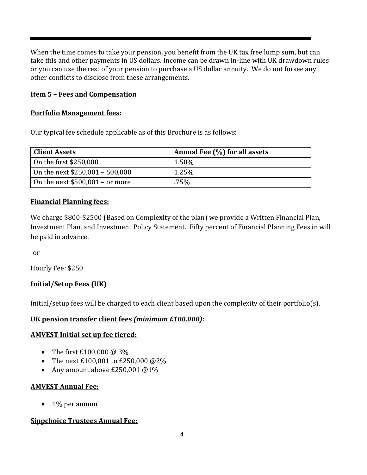When the time comes to take your pension, you benefit from the UK tax free lump sum, but can take this and other payments in US dollars. Income can be drawn in-line with UK drawdown rules or you can use the rest of your pension to purchase a US dollar annuity. We do not forsee any other conflicts to disclose from these arrangements.

#### **Item 5 – Fees and Compensation**

#### **Portfolio Management fees:**

Our typical fee schedule applicable as of this Brochure is as follows:

| <b>Client Assets</b>             | Annual Fee (%) for all assets |
|----------------------------------|-------------------------------|
| On the first \$250,000           | $1.50\%$                      |
| On the next $$250,001 - 500,000$ | 1.25%                         |
| On the next $$500,001 - or more$ | .75%                          |

#### **Financial Planning fees:**

We charge \$800-\$2500 (Based on Complexity of the plan) we provide a Written Financial Plan, Investment Plan, and Investment Policy Statement. Fifty percent of Financial Planning Fees in will be paid in advance.

-or-

Hourly Fee: \$250

### **Initial/Setup Fees (UK)**

Initial/setup fees will be charged to each client based upon the complexity of their portfolio(s).

### **UK pension transfer client fees** *(minimum £100,000):*

#### **AMVEST Initial set up fee tiered:**

- The first £100,000 @ 3%
- The next £100,001 to £250,000 @2%
- Any amount above £250,001 @1%

#### **AMVEST Annual Fee:**

• 1% per annum

### **Sippchoice Trustees Annual Fee:**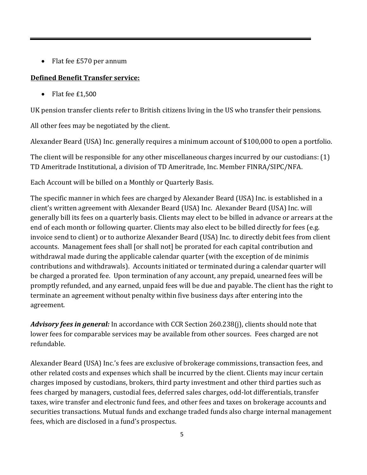• Flat fee £570 per annum

# **Defined Benefit Transfer service:**

• Flat fee £1,500

UK pension transfer clients refer to British citizens living in the US who transfer their pensions.

All other fees may be negotiated by the client.

Alexander Beard (USA) Inc. generally requires a minimum account of \$100,000 to open a portfolio.

The client will be responsible for any other miscellaneous charges incurred by our custodians: (1) TD Ameritrade Institutional, a division of TD Ameritrade, Inc. Member FINRA/SIPC/NFA.

Each Account will be billed on a Monthly or Quarterly Basis.

The specific manner in which fees are charged by Alexander Beard (USA) Inc. is established in a client's written agreement with Alexander Beard (USA) Inc. Alexander Beard (USA) Inc. will generally bill its fees on a quarterly basis. Clients may elect to be billed in advance or arrears at the end of each month or following quarter. Clients may also elect to be billed directly for fees (e.g. invoice send to client) or to authorize Alexander Beard (USA) Inc. to directly debit fees from client accounts. Management fees shall [or shall not] be prorated for each capital contribution and withdrawal made during the applicable calendar quarter (with the exception of de minimis contributions and withdrawals). Accounts initiated or terminated during a calendar quarter will be charged a prorated fee. Upon termination of any account, any prepaid, unearned fees will be promptly refunded, and any earned, unpaid fees will be due and payable. The client has the right to terminate an agreement without penalty within five business days after entering into the agreement.

*Advisory fees in general:* In accordance with CCR Section 260.238(j), clients should note that lower fees for comparable services may be available from other sources. Fees charged are not refundable.

Alexander Beard (USA) Inc.'s fees are exclusive of brokerage commissions, transaction fees, and other related costs and expenses which shall be incurred by the client. Clients may incur certain charges imposed by custodians, brokers, third party investment and other third parties such as fees charged by managers, custodial fees, deferred sales charges, odd-lot differentials, transfer taxes, wire transfer and electronic fund fees, and other fees and taxes on brokerage accounts and securities transactions. Mutual funds and exchange traded funds also charge internal management fees, which are disclosed in a fund's prospectus.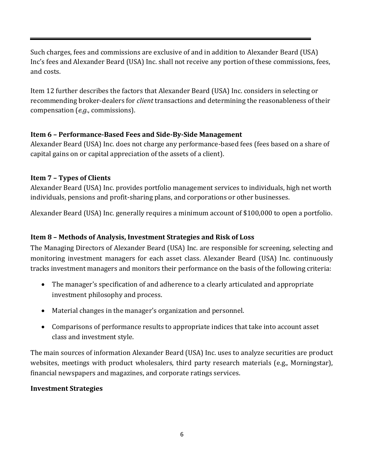Such charges, fees and commissions are exclusive of and in addition to Alexander Beard (USA) Inc's fees and Alexander Beard (USA) Inc. shall not receive any portion of these commissions, fees, and costs.

Item 12 further describes the factors that Alexander Beard (USA) Inc. considers in selecting or recommending broker-dealers for *client* transactions and determining the reasonableness of their compensation (*e.g.*, commissions).

# <span id="page-7-0"></span>**Item 6 – Performance-Based Fees and Side-By-Side Management**

Alexander Beard (USA) Inc. does not charge any performance-based fees (fees based on a share of capital gains on or capital appreciation of the assets of a client).

# <span id="page-7-1"></span>**Item 7 – Types of Clients**

Alexander Beard (USA) Inc. provides portfolio management services to individuals, high net worth individuals, pensions and profit-sharing plans, and corporations or other businesses.

Alexander Beard (USA) Inc. generally requires a minimum account of \$100,000 to open a portfolio.

# <span id="page-7-2"></span>**Item 8 – Methods of Analysis, Investment Strategies and Risk of Loss**

The Managing Directors of Alexander Beard (USA) Inc. are responsible for screening, selecting and monitoring investment managers for each asset class. Alexander Beard (USA) Inc. continuously tracks investment managers and monitors their performance on the basis of the following criteria:

- The manager's specification of and adherence to a clearly articulated and appropriate investment philosophy and process.
- Material changes in the manager's organization and personnel.
- Comparisons of performance results to appropriate indices that take into account asset class and investment style.

The main sources of information Alexander Beard (USA) Inc. uses to analyze securities are product websites, meetings with product wholesalers, third party research materials (e.g., Morningstar), financial newspapers and magazines, and corporate ratings services.

### **Investment Strategies**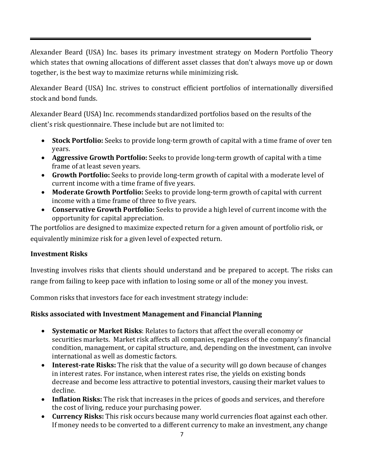Alexander Beard (USA) Inc. bases its primary investment strategy on Modern Portfolio Theory which states that owning allocations of different asset classes that don't always move up or down together, is the best way to maximize returns while minimizing risk.

Alexander Beard (USA) Inc. strives to construct efficient portfolios of internationally diversified stock and bond funds.

Alexander Beard (USA) Inc. recommends standardized portfolios based on the results of the client's risk questionnaire. These include but are not limited to:

- **Stock Portfolio:** Seeks to provide long-term growth of capital with a time frame of over ten years.
- **Aggressive Growth Portfolio:** Seeks to provide long-term growth of capital with a time frame of at least seven years.
- **Growth Portfolio:** Seeks to provide long-term growth of capital with a moderate level of current income with a time frame of five years.
- **Moderate Growth Portfolio:** Seeks to provide long-term growth of capital with current income with a time frame of three to five years.
- **Conservative Growth Portfolio:** Seeks to provide a high level of current income with the opportunity for capital appreciation.

The portfolios are designed to maximize expected return for a given amount of portfolio risk, or equivalently minimize risk for a given level of expected return.

### **Investment Risks**

Investing involves risks that clients should understand and be prepared to accept. The risks can range from failing to keep pace with inflation to losing some or all of the money you invest.

Common risks that investors face for each investment strategy include:

### **Risks associated with Investment Management and Financial Planning**

- **Systematic or Market Risks**: Relates to factors that affect the overall economy or securities markets. Market risk affects all companies, regardless of the company's financial condition, management, or capital structure, and, depending on the investment, can involve international as well as domestic factors.
- **Interest-rate Risks:** The risk that the value of a security will go down because of changes in interest rates. For instance, when interest rates rise, the yields on existing bonds decrease and become less attractive to potential investors, causing their market values to decline.
- **Inflation Risks:** The risk that increases in the prices of goods and services, and therefore the cost of living, reduce your purchasing power.
- **Currency Risks:** This risk occurs because many world currencies float against each other. If money needs to be converted to a different currency to make an investment, any change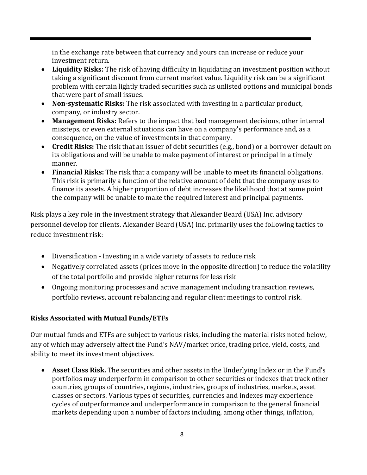in the exchange rate between that currency and yours can increase or reduce your investment return.

- **Liquidity Risks:** The risk of having difficulty in liquidating an investment position without taking a significant discount from current market value. Liquidity risk can be a significant problem with certain lightly traded securities such as unlisted options and municipal bonds that were part of small issues.
- **Non-systematic Risks:** The risk associated with investing in a particular product, company, or industry sector.
- **Management Risks:** Refers to the impact that bad management decisions, other internal missteps, or even external situations can have on a company's performance and, as a consequence, on the value of investments in that company.
- **Credit Risks:** The risk that an issuer of debt securities (e.g., bond) or a borrower default on its obligations and will be unable to make payment of interest or principal in a timely manner.
- **Financial Risks:** The risk that a company will be unable to meet its financial obligations. This risk is primarily a function of the relative amount of debt that the company uses to finance its assets. A higher proportion of debt increases the likelihood that at some point the company will be unable to make the required interest and principal payments.

Risk plays a key role in the investment strategy that Alexander Beard (USA) Inc. advisory personnel develop for clients. Alexander Beard (USA) Inc. primarily uses the following tactics to reduce investment risk:

- Diversification Investing in a wide variety of assets to reduce risk
- Negatively correlated assets (prices move in the opposite direction) to reduce the volatility of the total portfolio and provide higher returns for less risk
- Ongoing monitoring processes and active management including transaction reviews, portfolio reviews, account rebalancing and regular client meetings to control risk.

### **Risks Associated with Mutual Funds/ETFs**

Our mutual funds and ETFs are subject to various risks, including the material risks noted below, any of which may adversely affect the Fund's NAV/market price, trading price, yield, costs, and ability to meet its investment objectives.

• **Asset Class Risk.** The securities and other assets in the Underlying Index or in the Fund's portfolios may underperform in comparison to other securities or indexes that track other countries, groups of countries, regions, industries, groups of industries, markets, asset classes or sectors. Various types of securities, currencies and indexes may experience cycles of outperformance and underperformance in comparison to the general financial markets depending upon a number of factors including, among other things, inflation,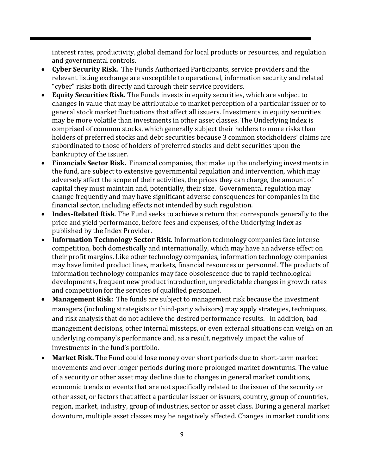interest rates, productivity, global demand for local products or resources, and regulation and governmental controls.

- **Cyber Security Risk.** The Funds Authorized Participants, service providers and the relevant listing exchange are susceptible to operational, information security and related "cyber" risks both directly and through their service providers.
- **Equity Securities Risk.** The Funds invests in equity securities, which are subject to changes in value that may be attributable to market perception of a particular issuer or to general stock market fluctuations that affect all issuers. Investments in equity securities may be more volatile than investments in other asset classes. The Underlying Index is comprised of common stocks, which generally subject their holders to more risks than holders of preferred stocks and debt securities because 3 common stockholders' claims are subordinated to those of holders of preferred stocks and debt securities upon the bankruptcy of the issuer.
- **Financials Sector Risk.** Financial companies, that make up the underlying investments in the fund, are subject to extensive governmental regulation and intervention, which may adversely affect the scope of their activities, the prices they can charge, the amount of capital they must maintain and, potentially, their size. Governmental regulation may change frequently and may have significant adverse consequences for companies in the financial sector, including effects not intended by such regulation.
- **Index-Related Risk**. The Fund seeks to achieve a return that corresponds generally to the price and yield performance, before fees and expenses, of the Underlying Index as published by the Index Provider.
- **Information Technology Sector Risk.** Information technology companies face intense competition, both domestically and internationally, which may have an adverse effect on their profit margins. Like other technology companies, information technology companies may have limited product lines, markets, financial resources or personnel. The products of information technology companies may face obsolescence due to rapid technological developments, frequent new product introduction, unpredictable changes in growth rates and competition for the services of qualified personnel.
- **Management Risk:** The funds are subject to management risk because the investment managers (including strategists or third-party advisors) may apply strategies, techniques, and risk analysis that do not achieve the desired performance results. In addition, bad management decisions, other internal missteps, or even external situations can weigh on an underlying company's performance and, as a result, negatively impact the value of investments in the fund's portfolio.
- **Market Risk.** The Fund could lose money over short periods due to short-term market movements and over longer periods during more prolonged market downturns. The value of a security or other asset may decline due to changes in general market conditions, economic trends or events that are not specifically related to the issuer of the security or other asset, or factors that affect a particular issuer or issuers, country, group of countries, region, market, industry, group of industries, sector or asset class. During a general market downturn, multiple asset classes may be negatively affected. Changes in market conditions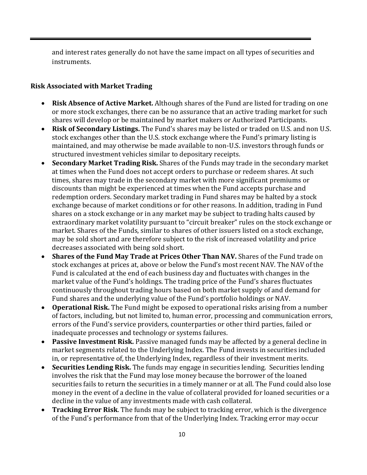and interest rates generally do not have the same impact on all types of securities and instruments.

#### **Risk Associated with Market Trading**

- **Risk Absence of Active Market.** Although shares of the Fund are listed for trading on one or more stock exchanges, there can be no assurance that an active trading market for such shares will develop or be maintained by market makers or Authorized Participants.
- **Risk of Secondary Listings.** The Fund's shares may be listed or traded on U.S. and non U.S. stock exchanges other than the U.S. stock exchange where the Fund's primary listing is maintained, and may otherwise be made available to non-U.S. investors through funds or structured investment vehicles similar to depositary receipts.
- **Secondary Market Trading Risk.** Shares of the Funds may trade in the secondary market at times when the Fund does not accept orders to purchase or redeem shares. At such times, shares may trade in the secondary market with more significant premiums or discounts than might be experienced at times when the Fund accepts purchase and redemption orders. Secondary market trading in Fund shares may be halted by a stock exchange because of market conditions or for other reasons. In addition, trading in Fund shares on a stock exchange or in any market may be subject to trading halts caused by extraordinary market volatility pursuant to "circuit breaker" rules on the stock exchange or market. Shares of the Funds, similar to shares of other issuers listed on a stock exchange, may be sold short and are therefore subject to the risk of increased volatility and price decreases associated with being sold short.
- **Shares of the Fund May Trade at Prices Other Than NAV.** Shares of the Fund trade on stock exchanges at prices at, above or below the Fund's most recent NAV. The NAV of the Fund is calculated at the end of each business day and fluctuates with changes in the market value of the Fund's holdings. The trading price of the Fund's shares fluctuates continuously throughout trading hours based on both market supply of and demand for Fund shares and the underlying value of the Fund's portfolio holdings or NAV.
- **Operational Risk.** The Fund might be exposed to operational risks arising from a number of factors, including, but not limited to, human error, processing and communication errors, errors of the Fund's service providers, counterparties or other third parties, failed or inadequate processes and technology or systems failures.
- **Passive Investment Risk.** Passive managed funds may be affected by a general decline in market segments related to the Underlying Index. The Fund invests in securities included in, or representative of, the Underlying Index, regardless of their investment merits.
- **Securities Lending Risk.** The funds may engage in securities lending. Securities lending involves the risk that the Fund may lose money because the borrower of the loaned securities fails to return the securities in a timely manner or at all. The Fund could also lose money in the event of a decline in the value of collateral provided for loaned securities or a decline in the value of any investments made with cash collateral.
- **Tracking Error Risk**. The funds may be subject to tracking error, which is the divergence of the Fund's performance from that of the Underlying Index. Tracking error may occur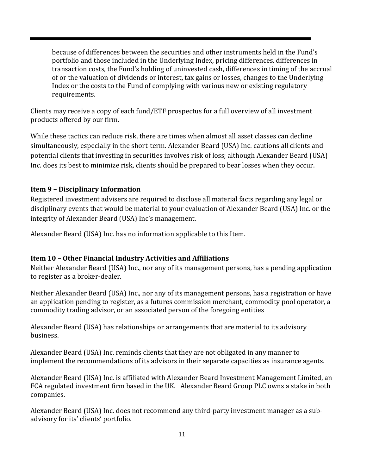because of differences between the securities and other instruments held in the Fund's portfolio and those included in the Underlying Index, pricing differences, differences in transaction costs, the Fund's holding of uninvested cash, differences in timing of the accrual of or the valuation of dividends or interest, tax gains or losses, changes to the Underlying Index or the costs to the Fund of complying with various new or existing regulatory requirements.

Clients may receive a copy of each fund/ETF prospectus for a full overview of all investment products offered by our firm.

While these tactics can reduce risk, there are times when almost all asset classes can decline simultaneously, especially in the short-term. Alexander Beard (USA) Inc. cautions all clients and potential clients that investing in securities involves risk of loss; although Alexander Beard (USA) Inc. does its best to minimize risk, clients should be prepared to bear losses when they occur.

### <span id="page-12-0"></span>**Item 9 – Disciplinary Information**

Registered investment advisers are required to disclose all material facts regarding any legal or disciplinary events that would be material to your evaluation of Alexander Beard (USA) Inc. or the integrity of Alexander Beard (USA) Inc's management.

Alexander Beard (USA) Inc. has no information applicable to this Item.

### <span id="page-12-1"></span>**Item 10 – Other Financial Industry Activities and Affiliations**

Neither Alexander Beard (USA) Inc**.**, nor any of its management persons, has a pending application to register as a broker-dealer.

Neither Alexander Beard (USA) Inc., nor any of its management persons, has a registration or have an application pending to register, as a futures commission merchant, commodity pool operator, a commodity trading advisor, or an associated person of the foregoing entities

Alexander Beard (USA) has relationships or arrangements that are material to its advisory business.

Alexander Beard (USA) Inc. reminds clients that they are not obligated in any manner to implement the recommendations of its advisors in their separate capacities as insurance agents.

Alexander Beard (USA) Inc. is affiliated with Alexander Beard Investment Management Limited, an FCA regulated investment firm based in the UK. Alexander Beard Group PLC owns a stake in both companies.

Alexander Beard (USA) Inc. does not recommend any third-party investment manager as a subadvisory for its' clients' portfolio.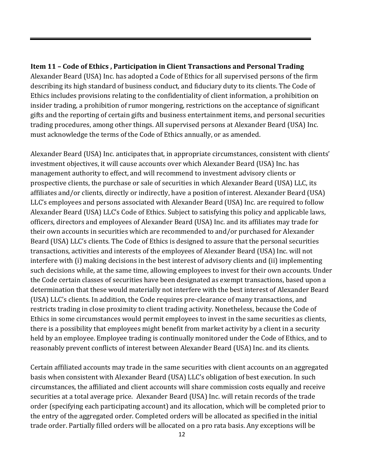### <span id="page-13-0"></span>**Item 11 – Code of Ethics , Participation in Client Transactions and Personal Trading**

Alexander Beard (USA) Inc. has adopted a Code of Ethics for all supervised persons of the firm describing its high standard of business conduct, and fiduciary duty to its clients. The Code of Ethics includes provisions relating to the confidentiality of client information, a prohibition on insider trading, a prohibition of rumor mongering, restrictions on the acceptance of significant gifts and the reporting of certain gifts and business entertainment items, and personal securities trading procedures, among other things. All supervised persons at Alexander Beard (USA) Inc. must acknowledge the terms of the Code of Ethics annually, or as amended.

Alexander Beard (USA) Inc. anticipates that, in appropriate circumstances, consistent with clients' investment objectives, it will cause accounts over which Alexander Beard (USA) Inc. has management authority to effect, and will recommend to investment advisory clients or prospective clients, the purchase or sale of securities in which Alexander Beard (USA) LLC, its affiliates and/or clients, directly or indirectly, have a position of interest. Alexander Beard (USA) LLC's employees and persons associated with Alexander Beard (USA) Inc. are required to follow Alexander Beard (USA) LLC's Code of Ethics. Subject to satisfying this policy and applicable laws, officers, directors and employees of Alexander Beard (USA) Inc. and its affiliates may trade for their own accounts in securities which are recommended to and/or purchased for Alexander Beard (USA) LLC's clients. The Code of Ethics is designed to assure that the personal securities transactions, activities and interests of the employees of Alexander Beard (USA) Inc. will not interfere with (i) making decisions in the best interest of advisory clients and (ii) implementing such decisions while, at the same time, allowing employees to invest for their own accounts. Under the Code certain classes of securities have been designated as exempt transactions, based upon a determination that these would materially not interfere with the best interest of Alexander Beard (USA) LLC's clients. In addition, the Code requires pre-clearance of many transactions, and restricts trading in close proximity to client trading activity. Nonetheless, because the Code of Ethics in some circumstances would permit employees to invest in the same securities as clients, there is a possibility that employees might benefit from market activity by a client in a security held by an employee. Employee trading is continually monitored under the Code of Ethics, and to reasonably prevent conflicts of interest between Alexander Beard (USA) Inc. and its clients.

Certain affiliated accounts may trade in the same securities with client accounts on an aggregated basis when consistent with Alexander Beard (USA) LLC's obligation of best execution. In such circumstances, the affiliated and client accounts will share commission costs equally and receive securities at a total average price. Alexander Beard (USA) Inc. will retain records of the trade order (specifying each participating account) and its allocation, which will be completed prior to the entry of the aggregated order. Completed orders will be allocated as specified in the initial trade order. Partially filled orders will be allocated on a pro rata basis. Any exceptions will be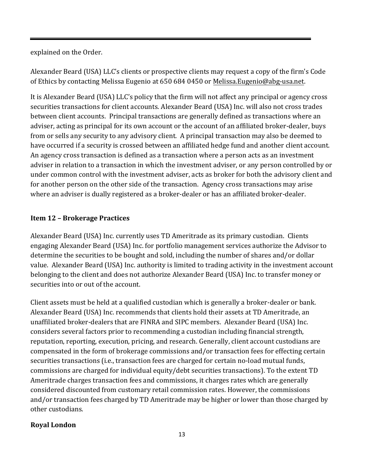explained on the Order.

Alexander Beard (USA) LLC's clients or prospective clients may request a copy of the firm's Code of Ethics by contacting Melissa Eugenio at 650 684 0450 or Melissa.Eugenio@abg-usa.net.

It is Alexander Beard (USA) LLC's policy that the firm will not affect any principal or agency cross securities transactions for client accounts. Alexander Beard (USA) Inc. will also not cross trades between client accounts. Principal transactions are generally defined as transactions where an adviser, acting as principal for its own account or the account of an affiliated broker-dealer, buys from or sells any security to any advisory client. A principal transaction may also be deemed to have occurred if a security is crossed between an affiliated hedge fund and another client account. An agency cross transaction is defined as a transaction where a person acts as an investment adviser in relation to a transaction in which the investment adviser, or any person controlled by or under common control with the investment adviser, acts as broker for both the advisory client and for another person on the other side of the transaction. Agency cross transactions may arise where an adviser is dually registered as a broker-dealer or has an affiliated broker-dealer.

### <span id="page-14-0"></span>**Item 12 – Brokerage Practices**

Alexander Beard (USA) Inc. currently uses TD Ameritrade as its primary custodian. Clients engaging Alexander Beard (USA) Inc. for portfolio management services authorize the Advisor to determine the securities to be bought and sold, including the number of shares and/or dollar value. Alexander Beard (USA) Inc. authority is limited to trading activity in the investment account belonging to the client and does not authorize Alexander Beard (USA) Inc. to transfer money or securities into or out of the account.

Client assets must be held at a qualified custodian which is generally a broker-dealer or bank. Alexander Beard (USA) Inc. recommends that clients hold their assets at TD Ameritrade, an unaffiliated broker-dealers that are FINRA and SIPC members. Alexander Beard (USA) Inc. considers several factors prior to recommending a custodian including financial strength, reputation, reporting, execution, pricing, and research. Generally, client account custodians are compensated in the form of brokerage commissions and/or transaction fees for effecting certain securities transactions (i.e., transaction fees are charged for certain no-load mutual funds, commissions are charged for individual equity/debt securities transactions). To the extent TD Ameritrade charges transaction fees and commissions, it charges rates which are generally considered discounted from customary retail commission rates. However, the commissions and/or transaction fees charged by TD Ameritrade may be higher or lower than those charged by other custodians.

#### **Royal London**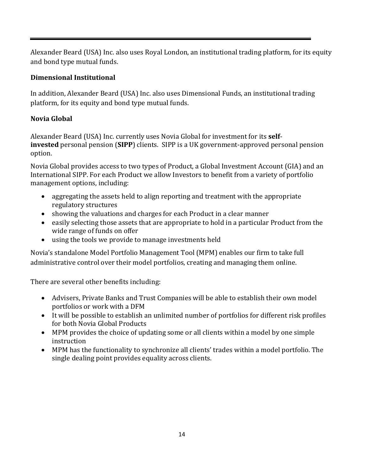Alexander Beard (USA) Inc. also uses Royal London, an institutional trading platform, for its equity and bond type mutual funds.

### **Dimensional Institutional**

In addition, Alexander Beard (USA) Inc. also uses Dimensional Funds, an institutional trading platform, for its equity and bond type mutual funds.

### **Novia Global**

Alexander Beard (USA) Inc. currently uses Novia Global for investment for its **selfinvested** personal pension (**SIPP**) clients. SIPP is a UK government-approved personal pension option.

Novia Global provides access to two types of Product, a Global Investment Account (GIA) and an International SIPP. For each Product we allow Investors to benefit from a variety of portfolio management options, including:

- aggregating the assets held to align reporting and treatment with the appropriate regulatory structures
- showing the valuations and charges for each Product in a clear manner
- easily selecting those assets that are appropriate to hold in a particular Product from the wide range of funds on offer
- using the tools we provide to manage investments held

Novia's standalone Model Portfolio Management Tool (MPM) enables our firm to take full administrative control over their model portfolios, creating and managing them online.

There are several other benefits including:

- Advisers, Private Banks and Trust Companies will be able to establish their own model portfolios or work with a DFM
- It will be possible to establish an unlimited number of portfolios for different risk profiles for both Novia Global Products
- MPM provides the choice of updating some or all clients within a model by one simple instruction
- MPM has the functionality to synchronize all clients' trades within a model portfolio. The single dealing point provides equality across clients.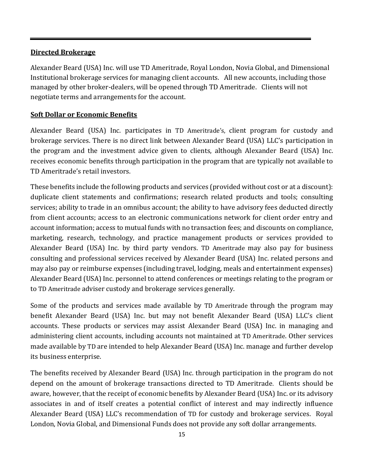#### **Directed Brokerage**

Alexander Beard (USA) Inc. will use TD Ameritrade, Royal London, Novia Global, and Dimensional Institutional brokerage services for managing client accounts. All new accounts, including those managed by other broker-dealers, will be opened through TD Ameritrade. Clients will not negotiate terms and arrangements for the account.

#### **Soft Dollar or Economic Benefits**

Alexander Beard (USA) Inc. participates in TD Ameritrade's, client program for custody and brokerage services. There is no direct link between Alexander Beard (USA) LLC's participation in the program and the investment advice given to clients, although Alexander Beard (USA) Inc. receives economic benefits through participation in the program that are typically not available to TD Ameritrade's retail investors.

These benefits include the following products and services (provided without cost or at a discount): duplicate client statements and confirmations; research related products and tools; consulting services; ability to trade in an omnibus account; the ability to have advisory fees deducted directly from client accounts; access to an electronic communications network for client order entry and account information; access to mutual funds with no transaction fees; and discounts on compliance, marketing, research, technology, and practice management products or services provided to Alexander Beard (USA) Inc. by third party vendors. TD Ameritrade may also pay for business consulting and professional services received by Alexander Beard (USA) Inc. related persons and may also pay or reimburse expenses (including travel, lodging, meals and entertainment expenses) Alexander Beard (USA) Inc. personnel to attend conferences or meetings relating to the program or to TD Ameritrade adviser custody and brokerage services generally.

Some of the products and services made available by TD Ameritrade through the program may benefit Alexander Beard (USA) Inc. but may not benefit Alexander Beard (USA) LLC's client accounts. These products or services may assist Alexander Beard (USA) Inc. in managing and administering client accounts, including accounts not maintained at TD Ameritrade. Other services made available by TD are intended to help Alexander Beard (USA) Inc. manage and further develop its business enterprise.

The benefits received by Alexander Beard (USA) Inc. through participation in the program do not depend on the amount of brokerage transactions directed to TD Ameritrade. Clients should be aware, however, that the receipt of economic benefits by Alexander Beard (USA) Inc. or its advisory associates in and of itself creates a potential conflict of interest and may indirectly influence Alexander Beard (USA) LLC's recommendation of TD for custody and brokerage services. Royal London, Novia Global, and Dimensional Funds does not provide any soft dollar arrangements.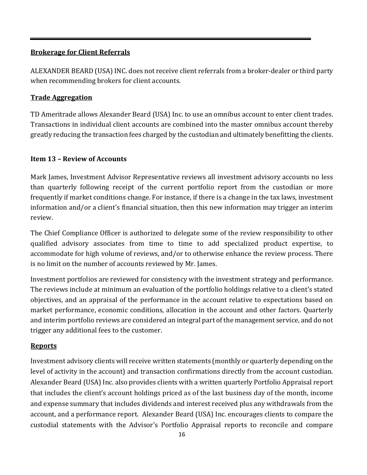#### **Brokerage for Client Referrals**

ALEXANDER BEARD (USA) INC. does not receive client referrals from a broker-dealer or third party when recommending brokers for client accounts.

#### **Trade Aggregation**

TD Ameritrade allows Alexander Beard (USA) Inc. to use an omnibus account to enter client trades. Transactions in individual client accounts are combined into the master omnibus account thereby greatly reducing the transaction fees charged by the custodian and ultimately benefitting the clients.

#### <span id="page-17-0"></span>**Item 13 – Review of Accounts**

Mark James, Investment Advisor Representative reviews all investment advisory accounts no less than quarterly following receipt of the current portfolio report from the custodian or more frequently if market conditions change. For instance, if there is a change in the tax laws, investment information and/or a client's financial situation, then this new information may trigger an interim review.

The Chief Compliance Officer is authorized to delegate some of the review responsibility to other qualified advisory associates from time to time to add specialized product expertise, to accommodate for high volume of reviews, and/or to otherwise enhance the review process. There is no limit on the number of accounts reviewed by Mr. James.

Investment portfolios are reviewed for consistency with the investment strategy and performance. The reviews include at minimum an evaluation of the portfolio holdings relative to a client's stated objectives, and an appraisal of the performance in the account relative to expectations based on market performance, economic conditions, allocation in the account and other factors. Quarterly and interim portfolio reviews are considered an integral part of the management service, and do not trigger any additional fees to the customer.

### **Reports**

Investment advisory clients will receive written statements (monthly or quarterly depending on the level of activity in the account) and transaction confirmations directly from the account custodian. Alexander Beard (USA) Inc. also provides clients with a written quarterly Portfolio Appraisal report that includes the client's account holdings priced as of the last business day of the month, income and expense summary that includes dividends and interest received plus any withdrawals from the account, and a performance report. Alexander Beard (USA) Inc. encourages clients to compare the custodial statements with the Advisor's Portfolio Appraisal reports to reconcile and compare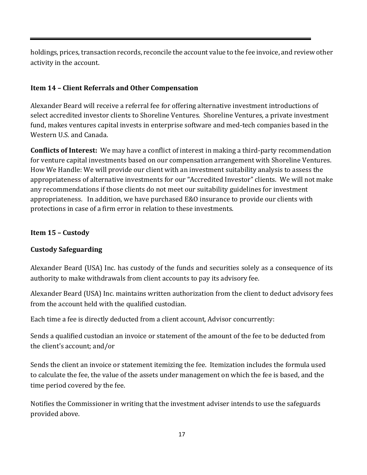holdings, prices, transaction records, reconcile the account value to the fee invoice, and review other activity in the account.

# <span id="page-18-0"></span>**Item 14 – Client Referrals and Other Compensation**

<span id="page-18-1"></span>Alexander Beard will receive a referral fee for offering alternative investment introductions of select accredited investor clients to Shoreline Ventures. Shoreline Ventures, a private investment fund, makes ventures capital invests in enterprise software and med-tech companies based in the Western U.S. and Canada.

**Conflicts of Interest:** We may have a conflict of interest in making a third-party recommendation for venture capital investments based on our compensation arrangement with Shoreline Ventures. How We Handle: We will provide our client with an investment suitability analysis to assess the appropriateness of alternative investments for our "Accredited Investor" clients. We will not make any recommendations if those clients do not meet our suitability guidelines for investment appropriateness. In addition, we have purchased E&O insurance to provide our clients with protections in case of a firm error in relation to these investments.

### **Item 15 – Custody**

# **Custody Safeguarding**

Alexander Beard (USA) Inc. has custody of the funds and securities solely as a consequence of its authority to make withdrawals from client accounts to pay its advisory fee.

Alexander Beard (USA) Inc. maintains written authorization from the client to deduct advisory fees from the account held with the qualified custodian.

Each time a fee is directly deducted from a client account, Advisor concurrently:

Sends a qualified custodian an invoice or statement of the amount of the fee to be deducted from the client's account; and/or

Sends the client an invoice or statement itemizing the fee. Itemization includes the formula used to calculate the fee, the value of the assets under management on which the fee is based, and the time period covered by the fee.

Notifies the Commissioner in writing that the investment adviser intends to use the safeguards provided above.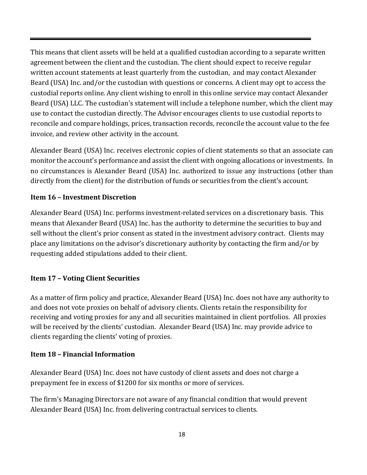This means that client assets will be held at a qualified custodian according to a separate written agreement between the client and the custodian. The client should expect to receive regular written account statements at least quarterly from the custodian, and may contact Alexander Beard (USA) Inc. and/or the custodian with questions or concerns. A client may opt to access the custodial reports online. Any client wishing to enroll in this online service may contact Alexander Beard (USA) LLC. The custodian's statement will include a telephone number, which the client may use to contact the custodian directly. The Advisor encourages clients to use custodial reports to reconcile and compare holdings, prices, transaction records, reconcile the account value to the fee invoice, and review other activity in the account.

Alexander Beard (USA) Inc. receives electronic copies of client statements so that an associate can monitor the account's performance and assist the client with ongoing allocations or investments. In no circumstances is Alexander Beard (USA) Inc. authorized to issue any instructions (other than directly from the client) for the distribution of funds or securities from the client's account.

### **Item 16 – Investment Discretion**

Alexander Beard (USA) Inc. performs investment-related services on a discretionary basis. This means that Alexander Beard (USA) Inc. has the authority to determine the securities to buy and sell without the client's prior consent as stated in the investment advisory contract. Clients may place any limitations on the advisor's discretionary authority by contacting the firm and/or by requesting added stipulations added to their client.

# <span id="page-19-0"></span>**Item 17 – Voting Client Securities**

As a matter of firm policy and practice, Alexander Beard (USA) Inc. does not have any authority to and does not vote proxies on behalf of advisory clients. Clients retain the responsibility for receiving and voting proxies for any and all securities maintained in client portfolios. All proxies will be received by the clients' custodian. Alexander Beard (USA) Inc. may provide advice to clients regarding the clients' voting of proxies.

### <span id="page-19-1"></span>**Item 18 – Financial Information**

Alexander Beard (USA) Inc. does not have custody of client assets and does not charge a prepayment fee in excess of \$1200 for six months or more of services.

The firm's Managing Directors are not aware of any financial condition that would prevent Alexander Beard (USA) Inc. from delivering contractual services to clients.